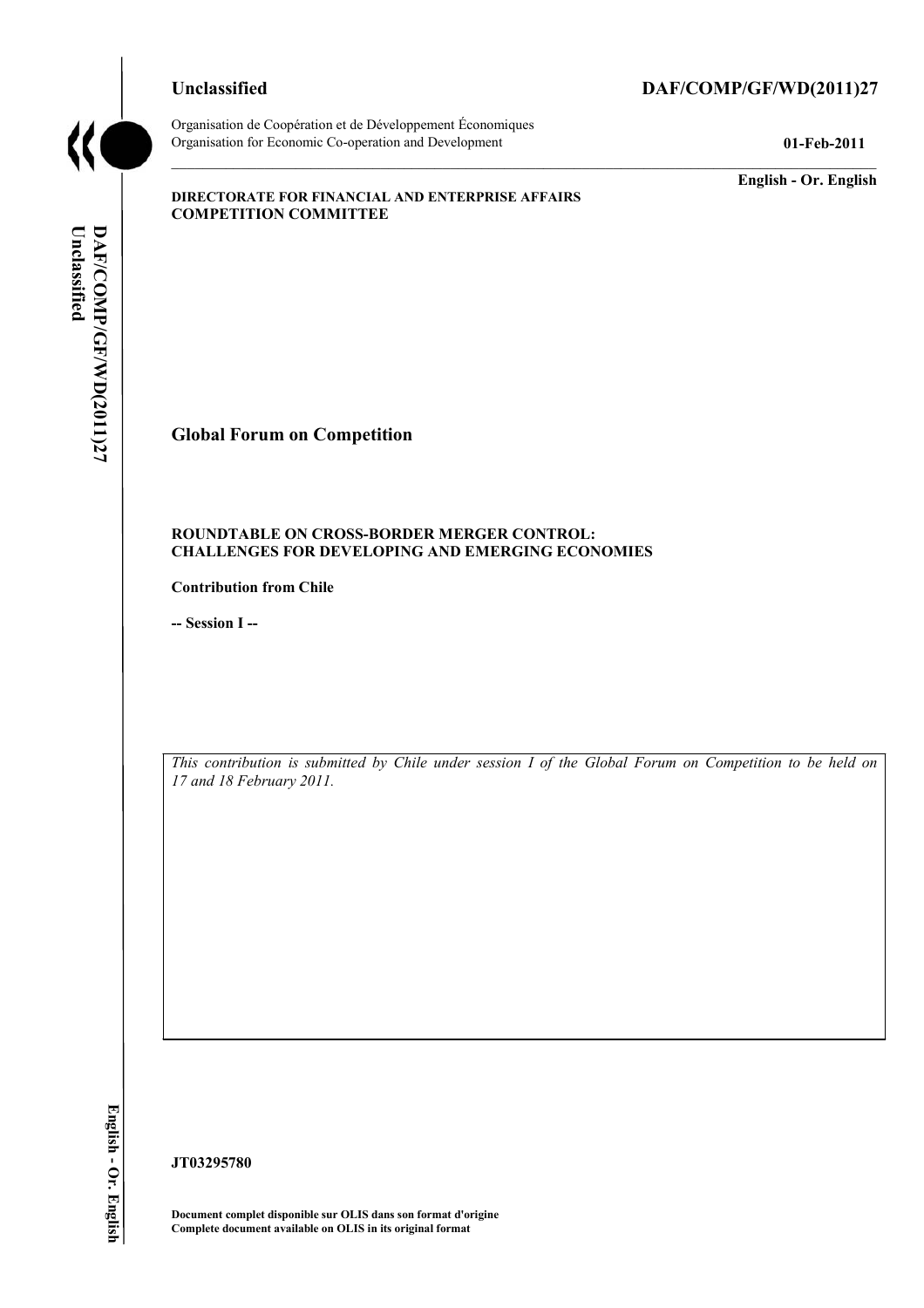#### **Unclassified DAF/COMP/GF/WD(2011)27**



Organisation de Coopération et de Développement Économiques Organisation for Economic Co-operation and Development **01-Feb-2011** 

**English - Or. English** 

#### **DIRECTORATE FOR FINANCIAL AND ENTERPRISE AFFAIRS COMPETITION COMMITTEE**

Unclassified DAF/COMP/GF/WD(2011)27 **Unclassified DAF/COMP/GF/WD(2011)27 English - Or. English**

# **Global Forum on Competition**

#### **ROUNDTABLE ON CROSS-BORDER MERGER CONTROL: CHALLENGES FOR DEVELOPING AND EMERGING ECONOMIES**

**Contribution from Chile** 

**-- Session I --** 

*This contribution is submitted by Chile under session I of the Global Forum on Competition to be held on 17 and 18 February 2011.* 

**JT03295780** 

**Document complet disponible sur OLIS dans son format d'origine Complete document available on OLIS in its original format**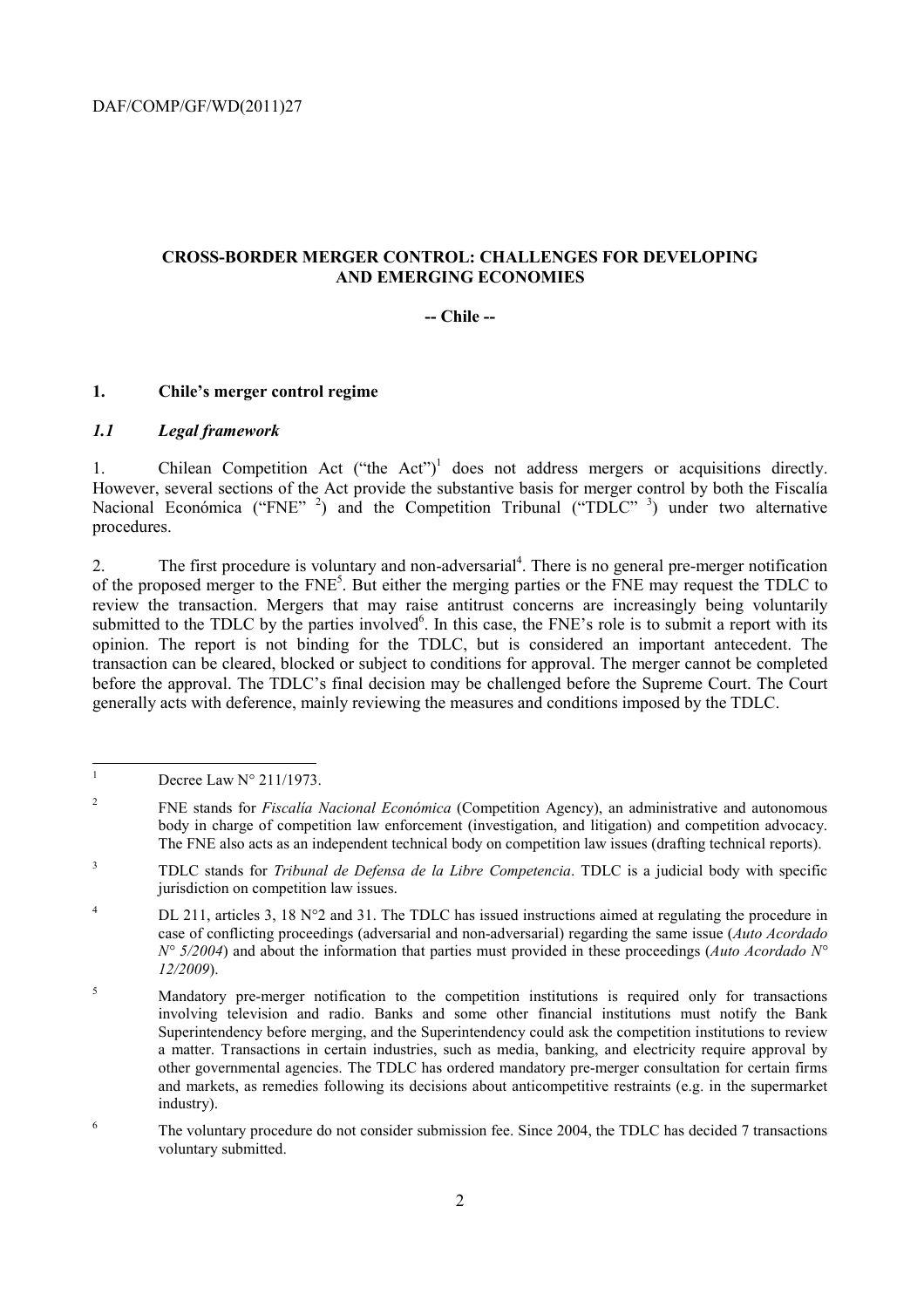#### **CROSS-BORDER MERGER CONTROL: CHALLENGES FOR DEVELOPING AND EMERGING ECONOMIES**

#### **-- Chile --**

#### **1. Chile's merger control regime**

#### *1.1 Legal framework*

1. Chilean Competition Act ("the Act")<sup>1</sup> does not address mergers or acquisitions directly. However, several sections of the Act provide the substantive basis for merger control by both the Fiscalía Nacional Económica ("FNE" <sup>2</sup>) and the Competition Tribunal ("TDLC" <sup>3</sup>) under two alternative procedures.

2. The first procedure is voluntary and non-adversarial<sup>4</sup>. There is no general pre-merger notification of the proposed merger to the FNE<sup>5</sup>. But either the merging parties or the FNE may request the TDLC to review the transaction. Mergers that may raise antitrust concerns are increasingly being voluntarily submitted to the TDLC by the parties involved<sup>6</sup>. In this case, the FNE's role is to submit a report with its opinion. The report is not binding for the TDLC, but is considered an important antecedent. The transaction can be cleared, blocked or subject to conditions for approval. The merger cannot be completed before the approval. The TDLC's final decision may be challenged before the Supreme Court. The Court generally acts with deference, mainly reviewing the measures and conditions imposed by the TDLC.

<sup>|&</sup>lt;br>|<br>| Decree Law N° 211/1973.

<sup>2</sup> FNE stands for *Fiscalía Nacional Económica* (Competition Agency), an administrative and autonomous body in charge of competition law enforcement (investigation, and litigation) and competition advocacy. The FNE also acts as an independent technical body on competition law issues (drafting technical reports).

<sup>3</sup> TDLC stands for *Tribunal de Defensa de la Libre Competencia*. TDLC is a judicial body with specific jurisdiction on competition law issues.

<sup>4</sup> DL 211, articles 3, 18  $N^{\circ}2$  and 31. The TDLC has issued instructions aimed at regulating the procedure in case of conflicting proceedings (adversarial and non-adversarial) regarding the same issue (*Auto Acordado N° 5/2004*) and about the information that parties must provided in these proceedings (*Auto Acordado N° 12/2009*).

<sup>5</sup> Mandatory pre-merger notification to the competition institutions is required only for transactions involving television and radio. Banks and some other financial institutions must notify the Bank Superintendency before merging, and the Superintendency could ask the competition institutions to review a matter. Transactions in certain industries, such as media, banking, and electricity require approval by other governmental agencies. The TDLC has ordered mandatory pre-merger consultation for certain firms and markets, as remedies following its decisions about anticompetitive restraints (e.g. in the supermarket industry).

<sup>6</sup> The voluntary procedure do not consider submission fee. Since 2004, the TDLC has decided 7 transactions voluntary submitted.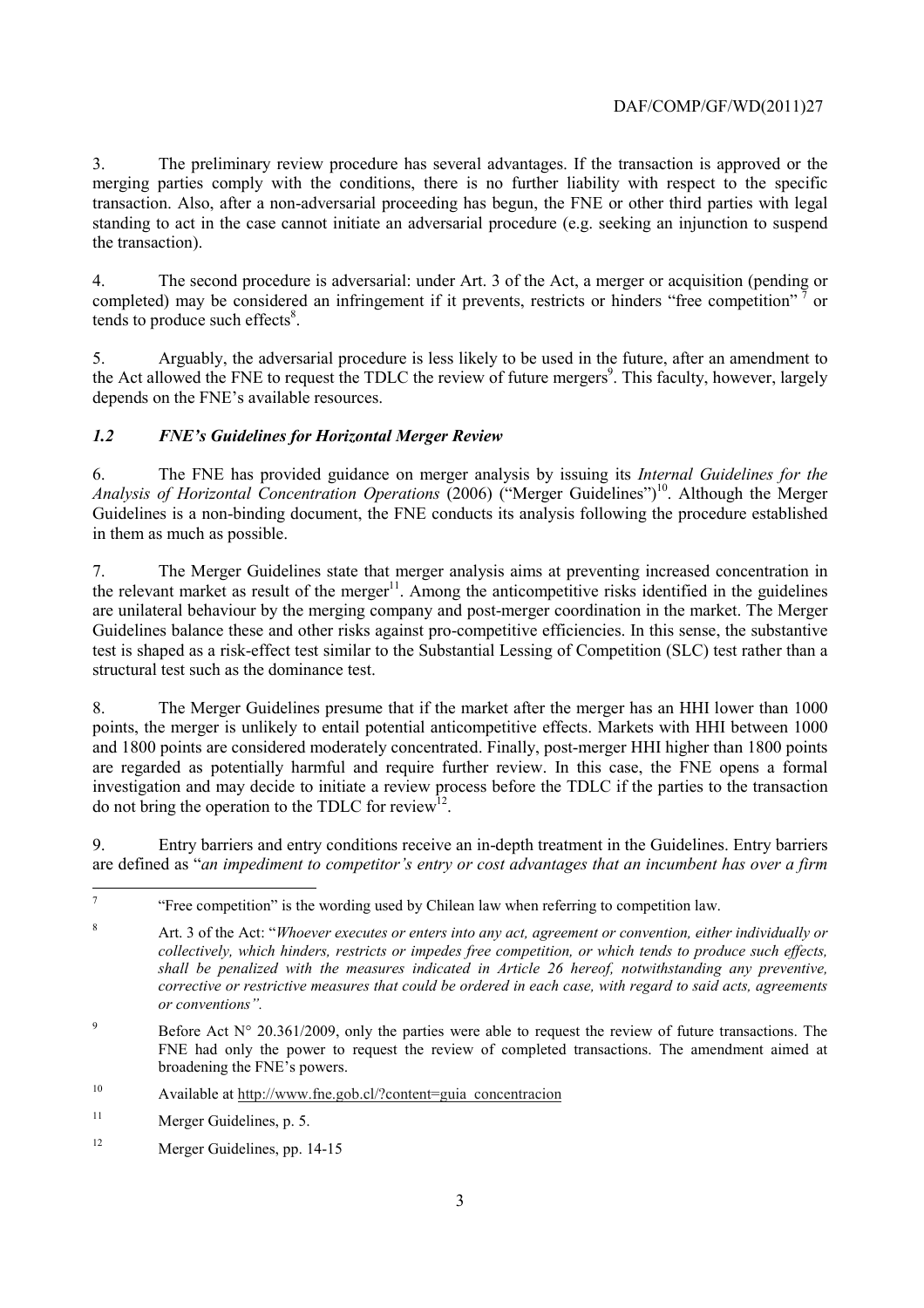3. The preliminary review procedure has several advantages. If the transaction is approved or the merging parties comply with the conditions, there is no further liability with respect to the specific transaction. Also, after a non-adversarial proceeding has begun, the FNE or other third parties with legal standing to act in the case cannot initiate an adversarial procedure (e.g. seeking an injunction to suspend the transaction).

4. The second procedure is adversarial: under Art. 3 of the Act, a merger or acquisition (pending or completed) may be considered an infringement if it prevents, restricts or hinders "free competition"<sup>7</sup> or tends to produce such effects<sup>8</sup>.

5. Arguably, the adversarial procedure is less likely to be used in the future, after an amendment to the Act allowed the FNE to request the TDLC the review of future mergers<sup>9</sup>. This faculty, however, largely depends on the FNE's available resources.

## *1.2 FNE's Guidelines for Horizontal Merger Review*

6. The FNE has provided guidance on merger analysis by issuing its *Internal Guidelines for the Analysis of Horizontal Concentration Operations* (2006) ("Merger Guidelines")<sup>10</sup>. Although the Merger Guidelines is a non-binding document, the FNE conducts its analysis following the procedure established in them as much as possible.

7. The Merger Guidelines state that merger analysis aims at preventing increased concentration in the relevant market as result of the merger $11$ . Among the anticompetitive risks identified in the guidelines are unilateral behaviour by the merging company and post-merger coordination in the market. The Merger Guidelines balance these and other risks against pro-competitive efficiencies. In this sense, the substantive test is shaped as a risk-effect test similar to the Substantial Lessing of Competition (SLC) test rather than a structural test such as the dominance test.

8. The Merger Guidelines presume that if the market after the merger has an HHI lower than 1000 points, the merger is unlikely to entail potential anticompetitive effects. Markets with HHI between 1000 and 1800 points are considered moderately concentrated. Finally, post-merger HHI higher than 1800 points are regarded as potentially harmful and require further review. In this case, the FNE opens a formal investigation and may decide to initiate a review process before the TDLC if the parties to the transaction do not bring the operation to the TDLC for review<sup>12</sup>.

9. Entry barriers and entry conditions receive an in-depth treatment in the Guidelines. Entry barriers are defined as "*an impediment to competitor's entry or cost advantages that an incumbent has over a firm* 

9 Before Act  $N^{\circ}$  20.361/2009, only the parties were able to request the review of future transactions. The FNE had only the power to request the review of completed transactions. The amendment aimed at broadening the FNE's powers.

10 Available at http://www.fne.gob.cl/?content=guia\_concentracion

<sup>&</sup>lt;sup>-</sup>7 "Free competition" is the wording used by Chilean law when referring to competition law.

<sup>8</sup> Art. 3 of the Act: "*Whoever executes or enters into any act, agreement or convention, either individually or collectively, which hinders, restricts or impedes free competition, or which tends to produce such effects, shall be penalized with the measures indicated in Article 26 hereof, notwithstanding any preventive, corrective or restrictive measures that could be ordered in each case, with regard to said acts, agreements or conventions".*

<sup>11</sup> Merger Guidelines, p. 5.

<sup>12</sup> Merger Guidelines, pp. 14-15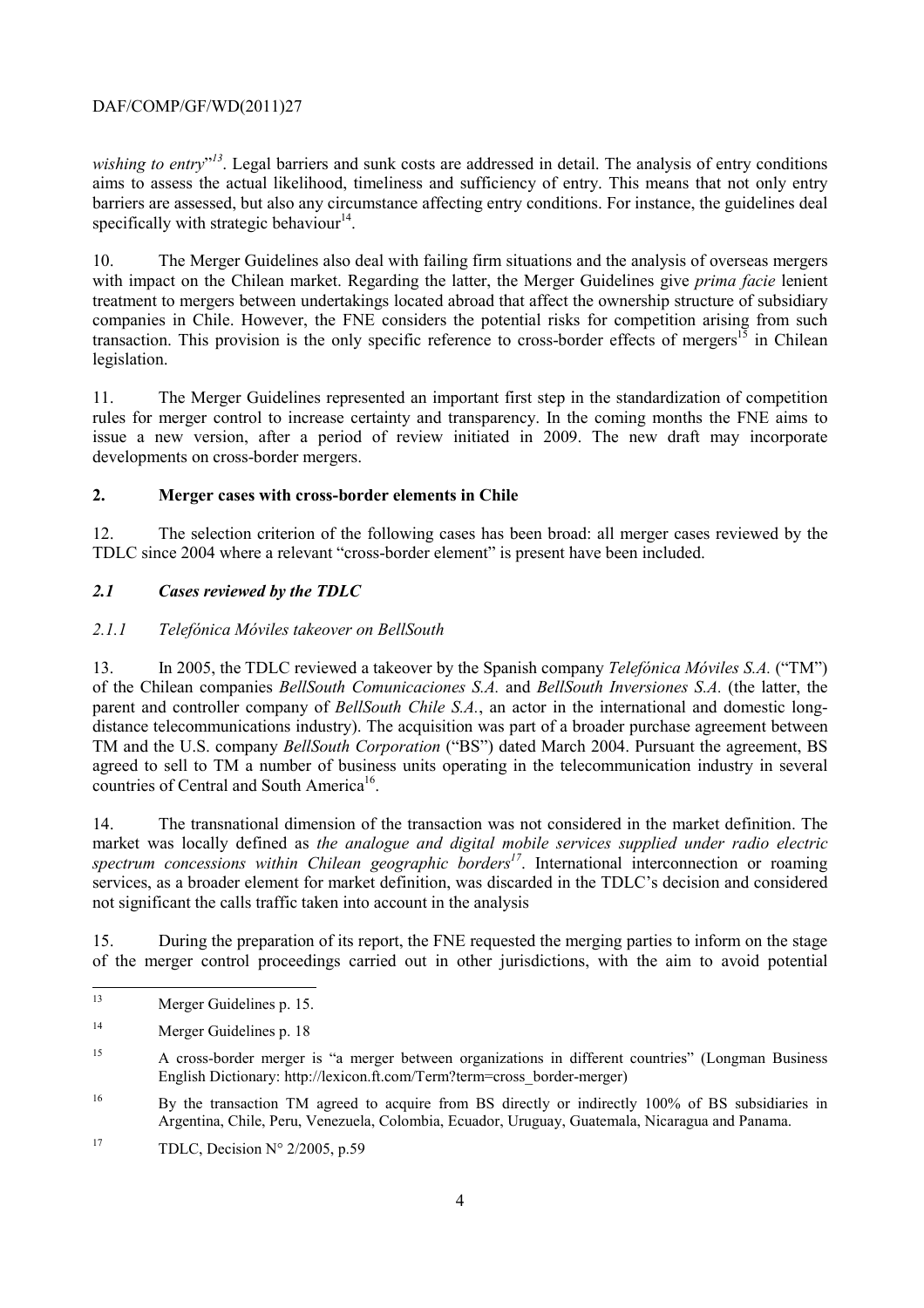## DAF/COMP/GF/WD(2011)27

wishing to entry"<sup>13</sup>. Legal barriers and sunk costs are addressed in detail. The analysis of entry conditions aims to assess the actual likelihood, timeliness and sufficiency of entry. This means that not only entry barriers are assessed, but also any circumstance affecting entry conditions. For instance, the guidelines deal specifically with strategic behaviour<sup>14</sup>.

10. The Merger Guidelines also deal with failing firm situations and the analysis of overseas mergers with impact on the Chilean market. Regarding the latter, the Merger Guidelines give *prima facie* lenient treatment to mergers between undertakings located abroad that affect the ownership structure of subsidiary companies in Chile. However, the FNE considers the potential risks for competition arising from such transaction. This provision is the only specific reference to cross-border effects of mergers<sup>15</sup> in Chilean legislation.

11. The Merger Guidelines represented an important first step in the standardization of competition rules for merger control to increase certainty and transparency. In the coming months the FNE aims to issue a new version, after a period of review initiated in 2009. The new draft may incorporate developments on cross-border mergers.

## **2. Merger cases with cross-border elements in Chile**

12. The selection criterion of the following cases has been broad: all merger cases reviewed by the TDLC since 2004 where a relevant "cross-border element" is present have been included.

## *2.1 Cases reviewed by the TDLC*

## *2.1.1 Telefónica Móviles takeover on BellSouth*

13. In 2005, the TDLC reviewed a takeover by the Spanish company *Telefónica Móviles S.A.* ("TM") of the Chilean companies *BellSouth Comunicaciones S.A.* and *BellSouth Inversiones S.A.* (the latter, the parent and controller company of *BellSouth Chile S.A.*, an actor in the international and domestic longdistance telecommunications industry). The acquisition was part of a broader purchase agreement between TM and the U.S. company *BellSouth Corporation* ("BS") dated March 2004. Pursuant the agreement, BS agreed to sell to TM a number of business units operating in the telecommunication industry in several countries of Central and South America<sup>16</sup>.

14. The transnational dimension of the transaction was not considered in the market definition. The market was locally defined as *the analogue and digital mobile services supplied under radio electric*  spectrum concessions within Chilean geographic borders<sup>17</sup>. International interconnection or roaming services, as a broader element for market definition, was discarded in the TDLC's decision and considered not significant the calls traffic taken into account in the analysis

15. During the preparation of its report, the FNE requested the merging parties to inform on the stage of the merger control proceedings carried out in other jurisdictions, with the aim to avoid potential

 $13$ Merger Guidelines p. 15.

<sup>14</sup> Merger Guidelines p. 18

<sup>15</sup> A cross-border merger is "a merger between organizations in different countries" (Longman Business English Dictionary: http://lexicon.ft.com/Term?term=cross\_border-merger)

<sup>&</sup>lt;sup>16</sup> By the transaction TM agreed to acquire from BS directly or indirectly 100% of BS subsidiaries in Argentina, Chile, Peru, Venezuela, Colombia, Ecuador, Uruguay, Guatemala, Nicaragua and Panama.

<sup>&</sup>lt;sup>17</sup> TDLC, Decision  $N^{\circ}$  2/2005, p.59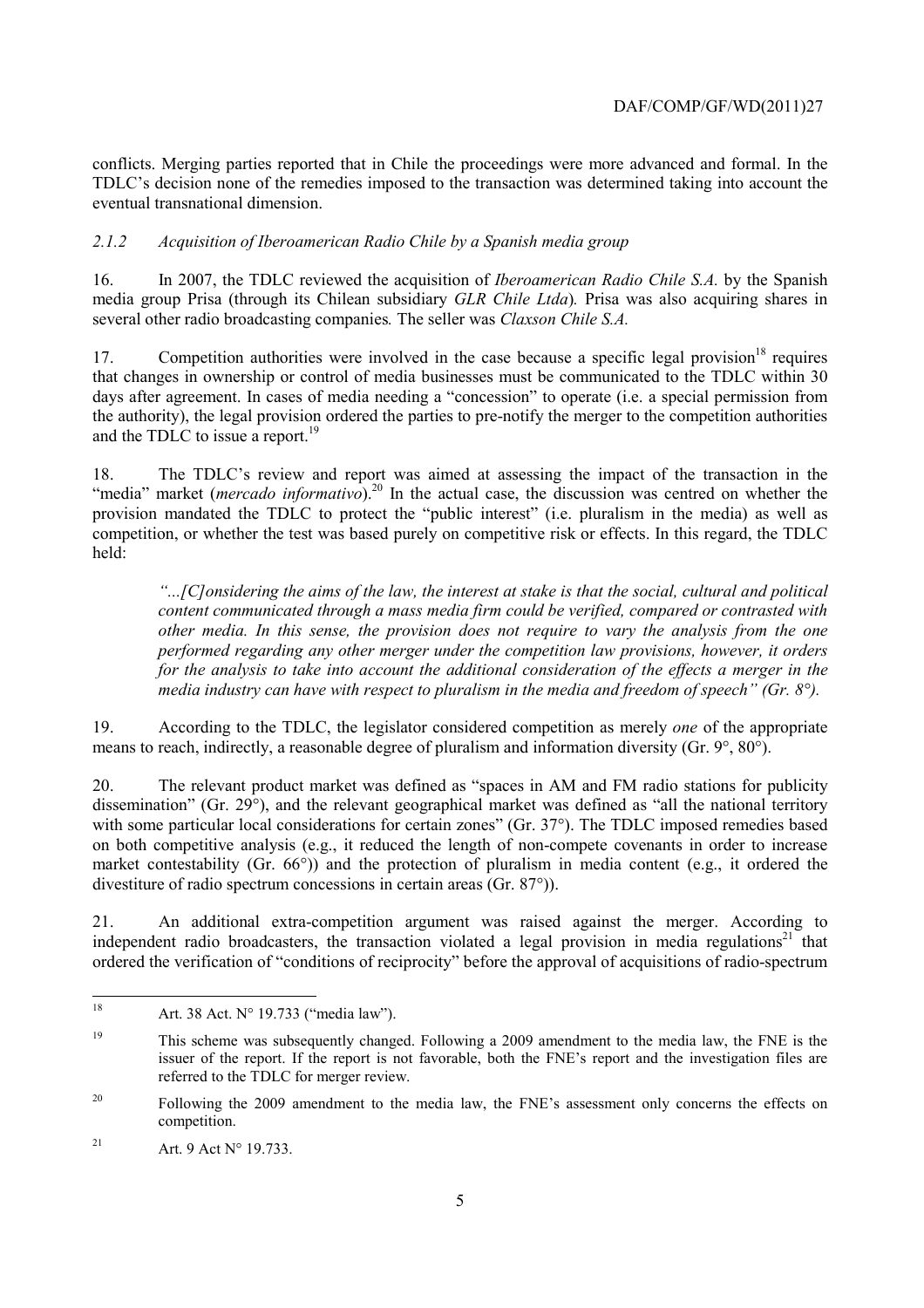conflicts. Merging parties reported that in Chile the proceedings were more advanced and formal. In the TDLC's decision none of the remedies imposed to the transaction was determined taking into account the eventual transnational dimension.

#### *2.1.2 Acquisition of Iberoamerican Radio Chile by a Spanish media group*

16. In 2007, the TDLC reviewed the acquisition of *Iberoamerican Radio Chile S.A.* by the Spanish media group Prisa (through its Chilean subsidiary *GLR Chile Ltda*)*.* Prisa was also acquiring shares in several other radio broadcasting companies*.* The seller was *Claxson Chile S.A.*

17. Competition authorities were involved in the case because a specific legal provision<sup>18</sup> requires that changes in ownership or control of media businesses must be communicated to the TDLC within 30 days after agreement. In cases of media needing a "concession" to operate (i.e. a special permission from the authority), the legal provision ordered the parties to pre-notify the merger to the competition authorities and the TDLC to issue a report.<sup>19</sup>

18. The TDLC's review and report was aimed at assessing the impact of the transaction in the The TDLC's Terrew and Tepert the actual case, the discussion was centred on whether the<br>"media" market (*mercado informativo*).<sup>20</sup> In the actual case, the discussion was centred on whether the provision mandated the TDLC to protect the "public interest" (i.e. pluralism in the media) as well as competition, or whether the test was based purely on competitive risk or effects. In this regard, the TDLC held:

*"...[C]onsidering the aims of the law, the interest at stake is that the social, cultural and political content communicated through a mass media firm could be verified, compared or contrasted with other media. In this sense, the provision does not require to vary the analysis from the one performed regarding any other merger under the competition law provisions, however, it orders for the analysis to take into account the additional consideration of the effects a merger in the media industry can have with respect to pluralism in the media and freedom of speech" (Gr. 8°).* 

19. According to the TDLC, the legislator considered competition as merely *one* of the appropriate means to reach, indirectly, a reasonable degree of pluralism and information diversity (Gr. 9°, 80°).

20. The relevant product market was defined as "spaces in AM and FM radio stations for publicity dissemination" (Gr. 29°), and the relevant geographical market was defined as "all the national territory with some particular local considerations for certain zones" (Gr. 37°). The TDLC imposed remedies based on both competitive analysis (e.g., it reduced the length of non-compete covenants in order to increase market contestability (Gr. 66°)) and the protection of pluralism in media content (e.g., it ordered the divestiture of radio spectrum concessions in certain areas (Gr. 87°)).

21. An additional extra-competition argument was raised against the merger. According to independent radio broadcasters, the transaction violated a legal provision in media regulations<sup>21</sup> that ordered the verification of "conditions of reciprocity" before the approval of acquisitions of radio-spectrum

<sup>18</sup> Art. 38 Act. N° 19.733 ("media law").

<sup>&</sup>lt;sup>19</sup> This scheme was subsequently changed. Following a 2009 amendment to the media law, the FNE is the issuer of the report. If the report is not favorable, both the FNE's report and the investigation files are referred to the TDLC for merger review.

<sup>&</sup>lt;sup>20</sup> Following the 2009 amendment to the media law, the FNE's assessment only concerns the effects on competition.

<sup>&</sup>lt;sup>21</sup> Art. 9 Act  $N^{\circ}$  19.733.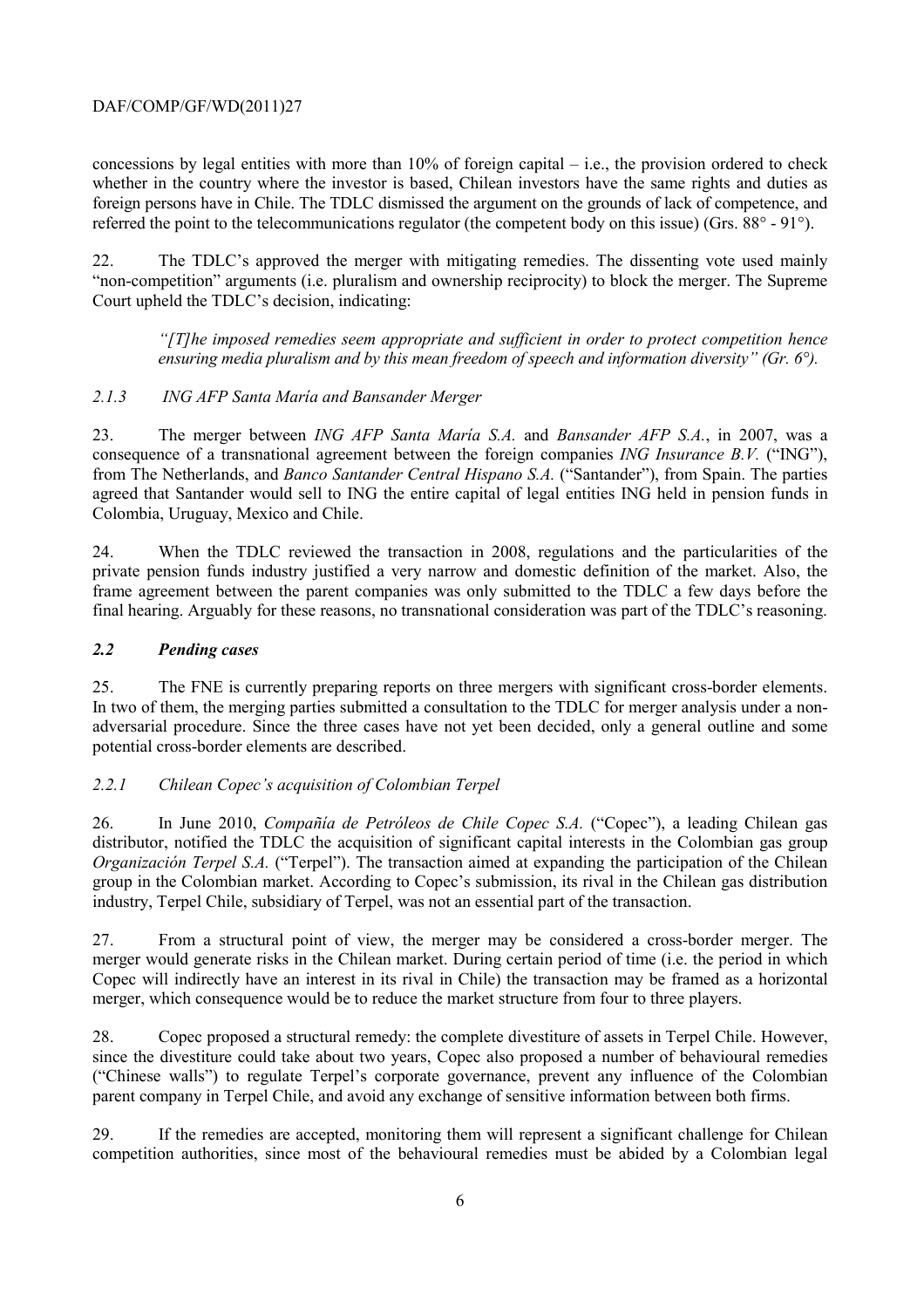#### DAF/COMP/GF/WD(2011)27

concessions by legal entities with more than  $10\%$  of foreign capital – i.e., the provision ordered to check whether in the country where the investor is based, Chilean investors have the same rights and duties as foreign persons have in Chile. The TDLC dismissed the argument on the grounds of lack of competence, and referred the point to the telecommunications regulator (the competent body on this issue) (Grs. 88° - 91°).

22. The TDLC's approved the merger with mitigating remedies. The dissenting vote used mainly "non-competition" arguments (i.e. pluralism and ownership reciprocity) to block the merger. The Supreme Court upheld the TDLC's decision, indicating:

*"[T]he imposed remedies seem appropriate and sufficient in order to protect competition hence ensuring media pluralism and by this mean freedom of speech and information diversity" (Gr. 6°).* 

#### *2.1.3 ING AFP Santa María and Bansander Merger*

23. The merger between *ING AFP Santa María S.A.* and *Bansander AFP S.A.*, in 2007, was a consequence of a transnational agreement between the foreign companies *ING Insurance B.V.* ("ING"), from The Netherlands, and *Banco Santander Central Hispano S.A.* ("Santander"), from Spain. The parties agreed that Santander would sell to ING the entire capital of legal entities ING held in pension funds in Colombia, Uruguay, Mexico and Chile.

24. When the TDLC reviewed the transaction in 2008, regulations and the particularities of the private pension funds industry justified a very narrow and domestic definition of the market. Also, the frame agreement between the parent companies was only submitted to the TDLC a few days before the final hearing. Arguably for these reasons, no transnational consideration was part of the TDLC's reasoning.

#### *2.2 Pending cases*

25. The FNE is currently preparing reports on three mergers with significant cross-border elements. In two of them, the merging parties submitted a consultation to the TDLC for merger analysis under a nonadversarial procedure. Since the three cases have not yet been decided, only a general outline and some potential cross-border elements are described.

#### *2.2.1 Chilean Copec's acquisition of Colombian Terpel*

26. In June 2010, *Compañía de Petróleos de Chile Copec S.A.* ("Copec"), a leading Chilean gas distributor, notified the TDLC the acquisition of significant capital interests in the Colombian gas group *Organización Terpel S.A.* ("Terpel"). The transaction aimed at expanding the participation of the Chilean group in the Colombian market. According to Copec's submission, its rival in the Chilean gas distribution industry, Terpel Chile, subsidiary of Terpel, was not an essential part of the transaction.

27. From a structural point of view, the merger may be considered a cross-border merger. The merger would generate risks in the Chilean market. During certain period of time (i.e. the period in which Copec will indirectly have an interest in its rival in Chile) the transaction may be framed as a horizontal merger, which consequence would be to reduce the market structure from four to three players.

28. Copec proposed a structural remedy: the complete divestiture of assets in Terpel Chile. However, since the divestiture could take about two years, Copec also proposed a number of behavioural remedies ("Chinese walls") to regulate Terpel's corporate governance, prevent any influence of the Colombian parent company in Terpel Chile, and avoid any exchange of sensitive information between both firms.

29. If the remedies are accepted, monitoring them will represent a significant challenge for Chilean competition authorities, since most of the behavioural remedies must be abided by a Colombian legal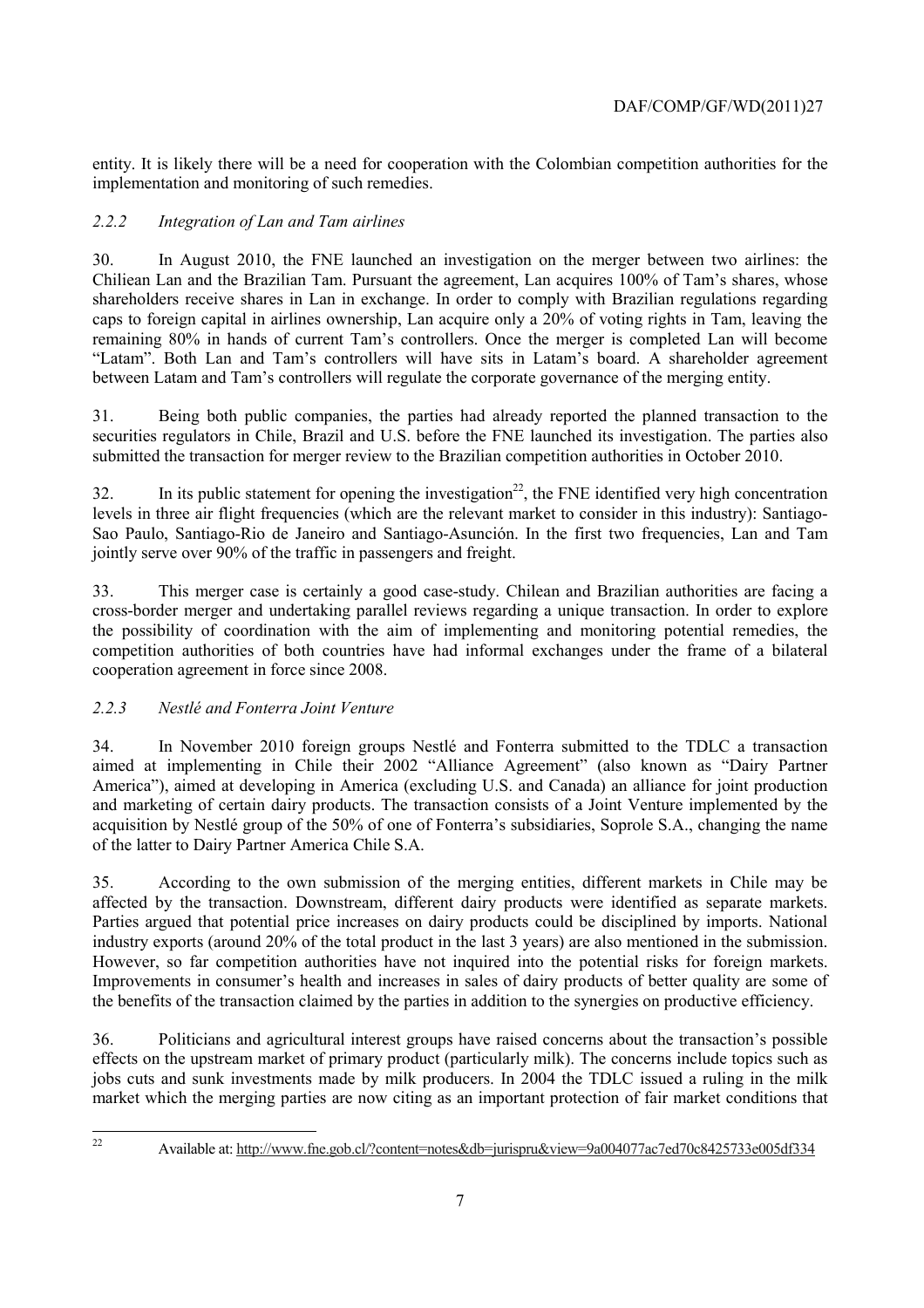entity. It is likely there will be a need for cooperation with the Colombian competition authorities for the implementation and monitoring of such remedies.

# *2.2.2 Integration of Lan and Tam airlines*

30. In August 2010, the FNE launched an investigation on the merger between two airlines: the Chiliean Lan and the Brazilian Tam. Pursuant the agreement, Lan acquires 100% of Tam's shares, whose shareholders receive shares in Lan in exchange. In order to comply with Brazilian regulations regarding caps to foreign capital in airlines ownership, Lan acquire only a 20% of voting rights in Tam, leaving the remaining 80% in hands of current Tam's controllers. Once the merger is completed Lan will become "Latam". Both Lan and Tam's controllers will have sits in Latam's board. A shareholder agreement between Latam and Tam's controllers will regulate the corporate governance of the merging entity.

31. Being both public companies, the parties had already reported the planned transaction to the securities regulators in Chile, Brazil and U.S. before the FNE launched its investigation. The parties also submitted the transaction for merger review to the Brazilian competition authorities in October 2010.

32. In its public statement for opening the investigation<sup>22</sup>, the FNE identified very high concentration levels in three air flight frequencies (which are the relevant market to consider in this industry): Santiago-Sao Paulo, Santiago-Rio de Janeiro and Santiago-Asunción. In the first two frequencies, Lan and Tam jointly serve over 90% of the traffic in passengers and freight.

33. This merger case is certainly a good case-study. Chilean and Brazilian authorities are facing a cross-border merger and undertaking parallel reviews regarding a unique transaction. In order to explore the possibility of coordination with the aim of implementing and monitoring potential remedies, the competition authorities of both countries have had informal exchanges under the frame of a bilateral cooperation agreement in force since 2008.

## *2.2.3 Nestlé and Fonterra Joint Venture*

34. In November 2010 foreign groups Nestlé and Fonterra submitted to the TDLC a transaction aimed at implementing in Chile their 2002 "Alliance Agreement" (also known as "Dairy Partner America"), aimed at developing in America (excluding U.S. and Canada) an alliance for joint production and marketing of certain dairy products. The transaction consists of a Joint Venture implemented by the acquisition by Nestlé group of the 50% of one of Fonterra's subsidiaries, Soprole S.A., changing the name of the latter to Dairy Partner America Chile S.A.

35. According to the own submission of the merging entities, different markets in Chile may be affected by the transaction. Downstream, different dairy products were identified as separate markets. Parties argued that potential price increases on dairy products could be disciplined by imports. National industry exports (around 20% of the total product in the last 3 years) are also mentioned in the submission. However, so far competition authorities have not inquired into the potential risks for foreign markets. Improvements in consumer's health and increases in sales of dairy products of better quality are some of the benefits of the transaction claimed by the parties in addition to the synergies on productive efficiency.

36. Politicians and agricultural interest groups have raised concerns about the transaction's possible effects on the upstream market of primary product (particularly milk). The concerns include topics such as jobs cuts and sunk investments made by milk producers. In 2004 the TDLC issued a ruling in the milk market which the merging parties are now citing as an important protection of fair market conditions that

 $22$ 

<sup>22</sup> Available at: http://www.fne.gob.cl/?content=notes&db=jurispru&view=9a004077ac7ed70c8425733e005df334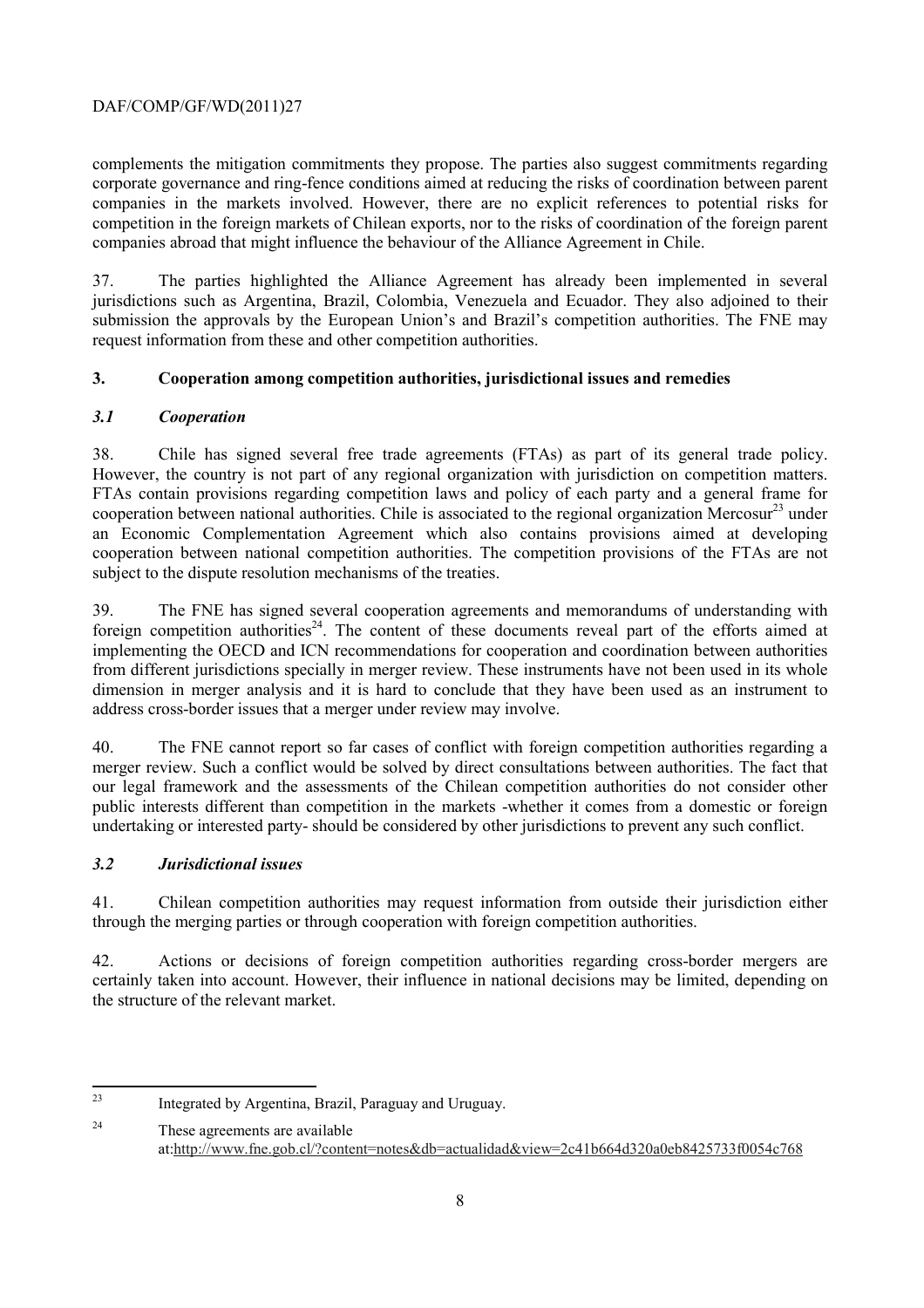# DAF/COMP/GF/WD(2011)27

complements the mitigation commitments they propose. The parties also suggest commitments regarding corporate governance and ring-fence conditions aimed at reducing the risks of coordination between parent companies in the markets involved. However, there are no explicit references to potential risks for competition in the foreign markets of Chilean exports, nor to the risks of coordination of the foreign parent companies abroad that might influence the behaviour of the Alliance Agreement in Chile.

37. The parties highlighted the Alliance Agreement has already been implemented in several jurisdictions such as Argentina, Brazil, Colombia, Venezuela and Ecuador. They also adjoined to their submission the approvals by the European Union's and Brazil's competition authorities. The FNE may request information from these and other competition authorities.

# **3. Cooperation among competition authorities, jurisdictional issues and remedies**

# *3.1 Cooperation*

38. Chile has signed several free trade agreements (FTAs) as part of its general trade policy. However, the country is not part of any regional organization with jurisdiction on competition matters. FTAs contain provisions regarding competition laws and policy of each party and a general frame for cooperation between national authorities. Chile is associated to the regional organization Mercosur<sup>23</sup> under an Economic Complementation Agreement which also contains provisions aimed at developing cooperation between national competition authorities. The competition provisions of the FTAs are not subject to the dispute resolution mechanisms of the treaties.

39. The FNE has signed several cooperation agreements and memorandums of understanding with foreign competition authorities<sup>24</sup>. The content of these documents reveal part of the efforts aimed at implementing the OECD and ICN recommendations for cooperation and coordination between authorities from different jurisdictions specially in merger review. These instruments have not been used in its whole dimension in merger analysis and it is hard to conclude that they have been used as an instrument to address cross-border issues that a merger under review may involve.

40. The FNE cannot report so far cases of conflict with foreign competition authorities regarding a merger review. Such a conflict would be solved by direct consultations between authorities. The fact that our legal framework and the assessments of the Chilean competition authorities do not consider other public interests different than competition in the markets -whether it comes from a domestic or foreign undertaking or interested party- should be considered by other jurisdictions to prevent any such conflict.

## *3.2 Jurisdictional issues*

41. Chilean competition authorities may request information from outside their jurisdiction either through the merging parties or through cooperation with foreign competition authorities.

42. Actions or decisions of foreign competition authorities regarding cross-border mergers are certainly taken into account. However, their influence in national decisions may be limited, depending on the structure of the relevant market.

 $23$ Integrated by Argentina, Brazil, Paraguay and Uruguay.

<sup>24</sup> These agreements are available at:http://www.fne.gob.cl/?content=notes&db=actualidad&view=2c41b664d320a0eb8425733f0054c768